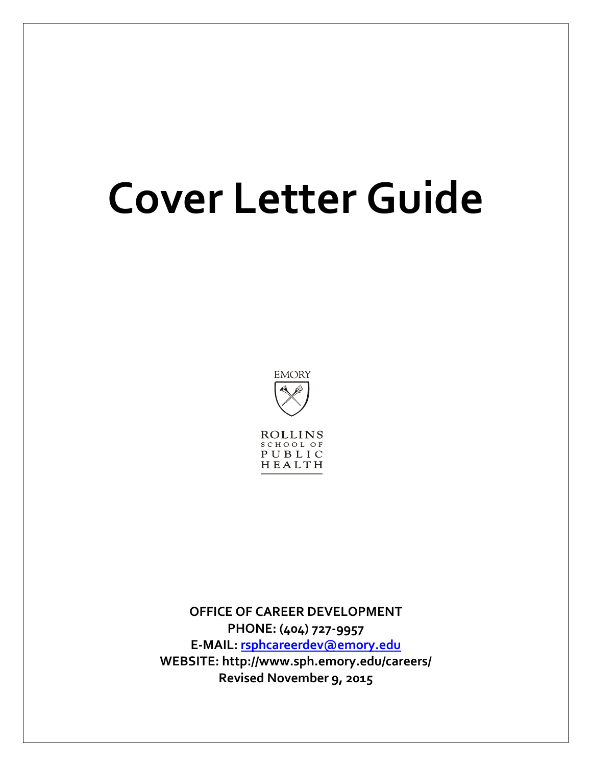## **Cover Letter Guide**



**OFFICE OF CAREER DEVELOPMENT PHONE: (404) 727-9957 E-MAIL: [rsphcareerdev@emory.edu](mailto:rsphcareerdev@emory.edu) WEBSITE: http://www.sph.emory.edu/careers/ Revised November 9, 2015**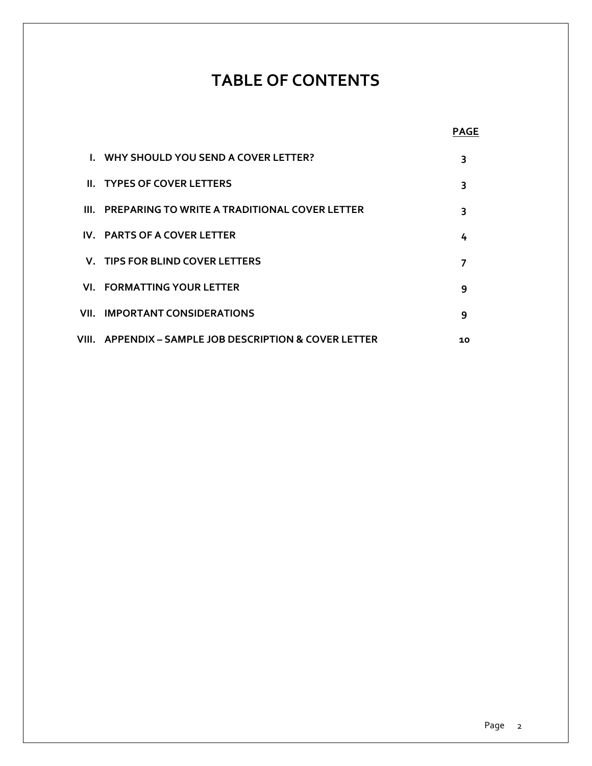### **TABLE OF CONTENTS**

|                                                            | <b>PAGE</b> |
|------------------------------------------------------------|-------------|
| I. WHY SHOULD YOU SEND A COVER LETTER?                     | 3           |
| <b>II. TYPES OF COVER LETTERS</b>                          | 3           |
| III. PREPARING TO WRITE A TRADITIONAL COVER LETTER         | 3           |
| IV. PARTS OF A COVER LETTER                                | 4           |
| V. TIPS FOR BLIND COVER LETTERS                            |             |
| <b>VI. FORMATTING YOUR LETTER</b>                          | 9           |
| <b>VII. IMPORTANT CONSIDERATIONS</b>                       | 9           |
| VIII.     APPENDIX – SAMPLE JOB DESCRIPTION & COVER LETTER | 10          |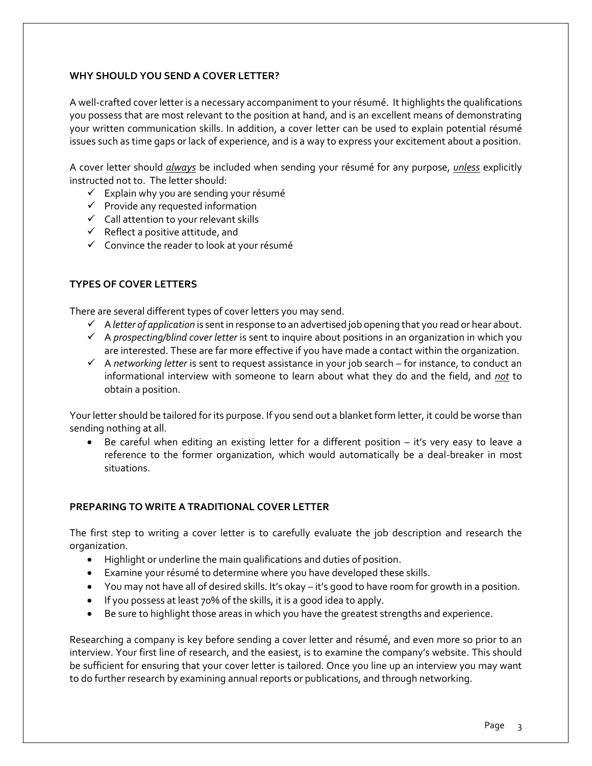#### **WHY SHOULD YOU SEND A COVER LETTER?**

A well-crafted cover letter is a necessary accompaniment to your résumé. It highlights the qualifications you possess that are most relevant to the position at hand, and is an excellent means of demonstrating your written communication skills. In addition, a cover letter can be used to explain potential résumé issues such as time gaps or lack of experience, and is a way to express your excitement about a position.

A cover letter should *always* be included when sending your résumé for any purpose, *unless* explicitly instructed not to. The letter should:

- $\checkmark$  Explain why you are sending your résumé
- $\checkmark$  Provide any requested information
- $\checkmark$  Call attention to your relevant skills
- $\checkmark$  Reflect a positive attitude, and
- $\checkmark$  Convince the reader to look at your résumé

#### **TYPES OF COVER LETTERS**

There are several different types of cover letters you may send.

- A *letter of application* is sent in response to an advertised job opening that you read or hear about.
- A *prospecting/blind cover letter* is sent to inquire about positions in an organization in which you are interested. These are far more effective if you have made a contact within the organization.
- A *networking letter* is sent to request assistance in your job search for instance, to conduct an informational interview with someone to learn about what they do and the field, and *not* to obtain a position.

Your letter should be tailored for its purpose. If you send out a blanket form letter, it could be worse than sending nothing at all.

 Be careful when editing an existing letter for a different position – it's very easy to leave a reference to the former organization, which would automatically be a deal-breaker in most situations.

#### **PREPARING TO WRITE A TRADITIONAL COVER LETTER**

The first step to writing a cover letter is to carefully evaluate the job description and research the organization.

- Highlight or underline the main qualifications and duties of position.
- Examine your résumé to determine where you have developed these skills.
- You may not have all of desired skills. It's okay it's good to have room for growth in a position.
- If you possess at least 70% of the skills, it is a good idea to apply.
- Be sure to highlight those areas in which you have the greatest strengths and experience.

Researching a company is key before sending a cover letter and résumé, and even more so prior to an interview. Your first line of research, and the easiest, is to examine the company's website. This should be sufficient for ensuring that your cover letter is tailored. Once you line up an interview you may want to do further research by examining annual reports or publications, and through networking.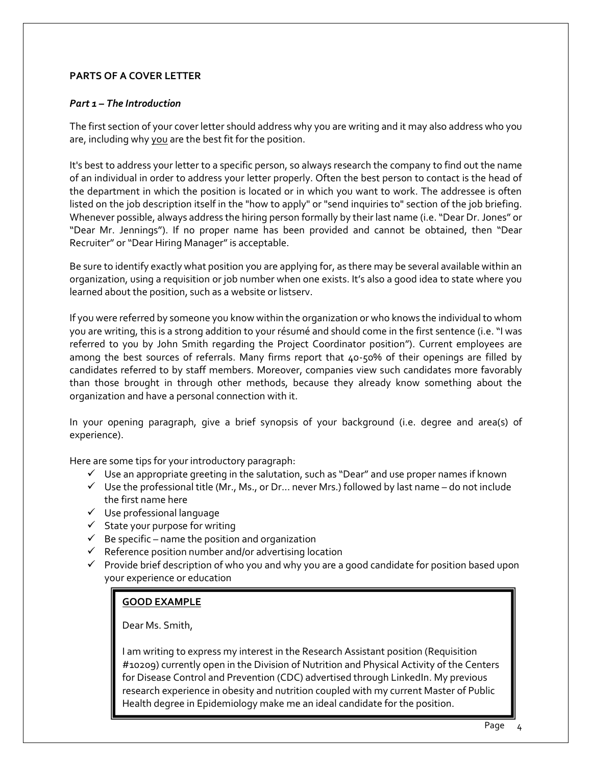#### **PARTS OF A COVER LETTER**

#### *Part 1 – The Introduction*

The first section of your cover letter should address why you are writing and it may also address who you are, including why you are the best fit for the position.

It's best to address your letter to a specific person, so always research the company to find out the name of an individual in order to address your letter properly. Often the best person to contact is the head of the department in which the position is located or in which you want to work. The addressee is often listed on the job description itself in the "how to apply" or "send inquiries to" section of the job briefing. Whenever possible, always address the hiring person formally by their last name (i.e. "Dear Dr. Jones" or "Dear Mr. Jennings"). If no proper name has been provided and cannot be obtained, then "Dear Recruiter" or "Dear Hiring Manager" is acceptable.

Be sure to identify exactly what position you are applying for, as there may be several available within an organization, using a requisition or job number when one exists. It's also a good idea to state where you learned about the position, such as a website or listserv.

If you were referred by someone you know within the organization or who knows the individual to whom you are writing, this is a strong addition to your résumé and should come in the first sentence (i.e. "I was referred to you by John Smith regarding the Project Coordinator position"). Current employees are among the best sources of referrals. Many firms report that 40-50% of their openings are filled by candidates referred to by staff members. Moreover, companies view such candidates more favorably than those brought in through other methods, because they already know something about the organization and have a personal connection with it.

In your opening paragraph, give a brief synopsis of your background (i.e. degree and area(s) of experience).

Here are some tips for your introductory paragraph:

- $\checkmark$  Use an appropriate greeting in the salutation, such as "Dear" and use proper names if known
- $\checkmark$  Use the professional title (Mr., Ms., or Dr... never Mrs.) followed by last name do not include the first name here
- $\checkmark$  Use professional language
- $\checkmark$  State your purpose for writing
- $\checkmark$  Be specific name the position and organization
- $\checkmark$  Reference position number and/or advertising location
- $\checkmark$  Provide brief description of who you and why you are a good candidate for position based upon your experience or education

#### **GOOD EXAMPLE**

Dear Ms. Smith,

I am writing to express my interest in the Research Assistant position (Requisition #10209) currently open in the Division of Nutrition and Physical Activity of the Centers for Disease Control and Prevention (CDC) advertised through LinkedIn. My previous research experience in obesity and nutrition coupled with my current Master of Public Health degree in Epidemiology make me an ideal candidate for the position.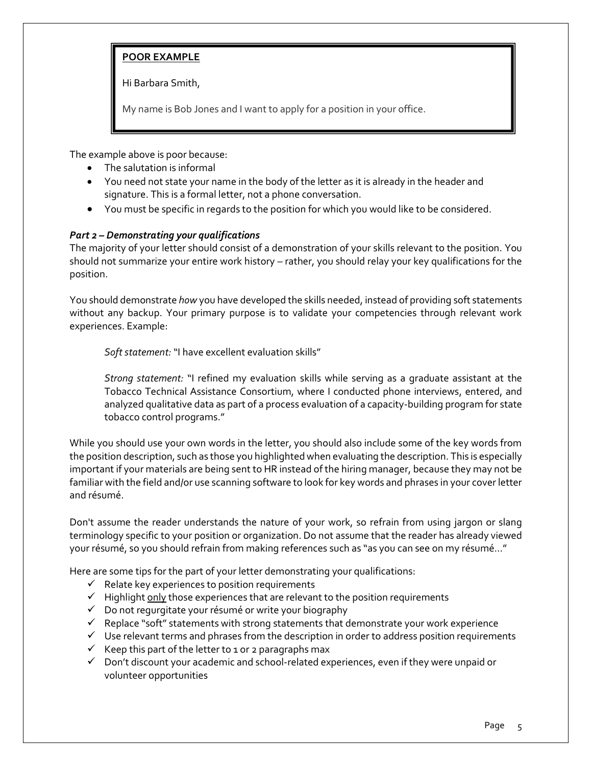#### **POOR EXAMPLE**

Hi Barbara Smith,

My name is Bob Jones and I want to apply for a position in your office.

The example above is poor because:

- The salutation is informal
- You need not state your name in the body of the letter as it is already in the header and signature. This is a formal letter, not a phone conversation.
- You must be specific in regards to the position for which you would like to be considered.

#### *Part 2 – Demonstrating your qualifications*

The majority of your letter should consist of a demonstration of your skills relevant to the position. You should not summarize your entire work history – rather, you should relay your key qualifications for the position.

You should demonstrate *how* you have developed the skills needed, instead of providing soft statements without any backup. Your primary purpose is to validate your competencies through relevant work experiences. Example:

*Soft statement:* "I have excellent evaluation skills"

*Strong statement:* "I refined my evaluation skills while serving as a graduate assistant at the Tobacco Technical Assistance Consortium, where I conducted phone interviews, entered, and analyzed qualitative data as part of a process evaluation of a capacity-building program for state tobacco control programs."

While you should use your own words in the letter, you should also include some of the key words from the position description, such as those you highlighted when evaluating the description. This is especially important if your materials are being sent to HR instead of the hiring manager, because they may not be familiar with the field and/or use scanning software to look for key words and phrases in your cover letter and résumé.

Don't assume the reader understands the nature of your work, so refrain from using jargon or slang terminology specific to your position or organization. Do not assume that the reader has already viewed your résumé, so you should refrain from making references such as "as you can see on my résumé…"

Here are some tips for the part of your letter demonstrating your qualifications:

- $\checkmark$  Relate key experiences to position requirements
- $\checkmark$  Highlight only those experiences that are relevant to the position requirements
- Do not regurgitate your résumé or write your biography
- $\checkmark$  Replace "soft" statements with strong statements that demonstrate your work experience
- $\checkmark$  Use relevant terms and phrases from the description in order to address position requirements
- $\checkmark$  Keep this part of the letter to 1 or 2 paragraphs max
- Don't discount your academic and school-related experiences, even if they were unpaid or volunteer opportunities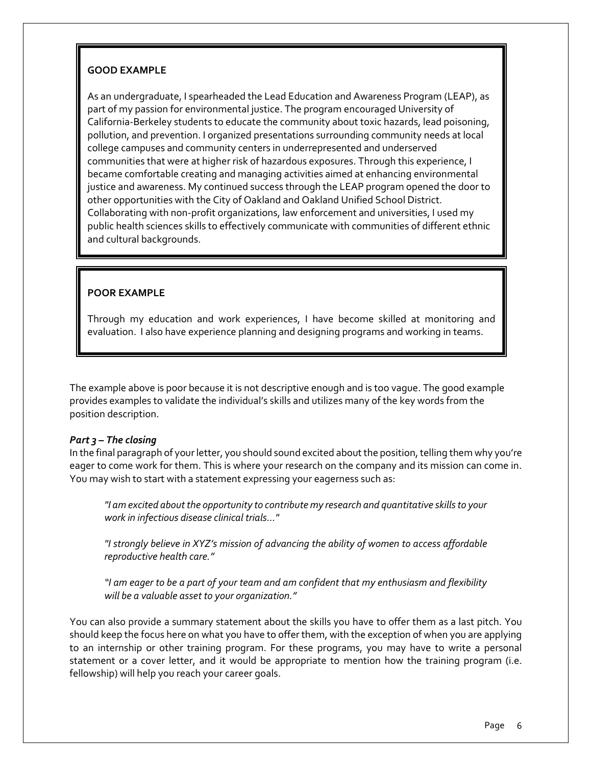#### **GOOD EXAMPLE**

As an undergraduate, I spearheaded the Lead Education and Awareness Program (LEAP), as part of my passion for environmental justice. The program encouraged University of California-Berkeley students to educate the community about toxic hazards, lead poisoning, pollution, and prevention. I organized presentations surrounding community needs at local college campuses and community centers in underrepresented and underserved communities that were at higher risk of hazardous exposures. Through this experience, I became comfortable creating and managing activities aimed at enhancing environmental justice and awareness. My continued success through the LEAP program opened the door to other opportunities with the City of Oakland and Oakland Unified School District. Collaborating with non-profit organizations, law enforcement and universities, I used my public health sciences skills to effectively communicate with communities of different ethnic and cultural backgrounds.

#### **POOR EXAMPLE**

Through my education and work experiences, I have become skilled at monitoring and evaluation. I also have experience planning and designing programs and working in teams.

The example above is poor because it is not descriptive enough and is too vague. The good example provides examples to validate the individual's skills and utilizes many of the key words from the position description.

#### *Part 3 – The closing*

In the final paragraph of your letter, you should sound excited about the position, telling them why you're eager to come work for them. This is where your research on the company and its mission can come in. You may wish to start with a statement expressing your eagerness such as:

*"I am excited about the opportunity to contribute my research and quantitative skills to your work in infectious disease clinical trials..."* 

*"I strongly believe in XYZ's mission of advancing the ability of women to access affordable reproductive health care."*

*"I am eager to be a part of your team and am confident that my enthusiasm and flexibility will be a valuable asset to your organization."*

You can also provide a summary statement about the skills you have to offer them as a last pitch. You should keep the focus here on what you have to offer them, with the exception of when you are applying to an internship or other training program. For these programs, you may have to write a personal statement or a cover letter, and it would be appropriate to mention how the training program (i.e. fellowship) will help you reach your career goals.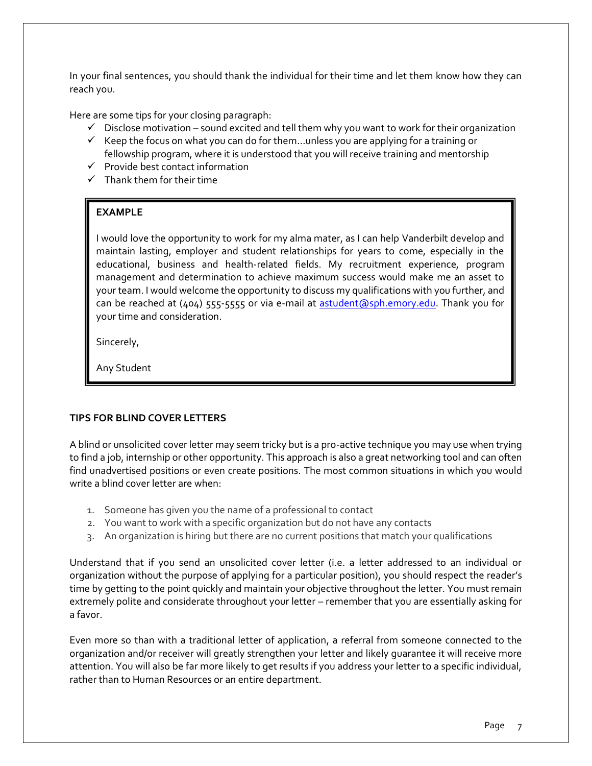In your final sentences, you should thank the individual for their time and let them know how they can reach you.

Here are some tips for your closing paragraph:

- $\checkmark$  Disclose motivation sound excited and tell them why you want to work for their organization
- $\checkmark$  Keep the focus on what you can do for them... unless you are applying for a training or fellowship program, where it is understood that you will receive training and mentorship
- $\checkmark$  Provide best contact information
- $\checkmark$  Thank them for their time

#### **EXAMPLE**

I would love the opportunity to work for my alma mater, as I can help Vanderbilt develop and maintain lasting, employer and student relationships for years to come, especially in the educational, business and health-related fields. My recruitment experience, program management and determination to achieve maximum success would make me an asset to your team. I would welcome the opportunity to discuss my qualifications with you further, and can be reached at (404) 555-5555 or via e-mail at [astudent@sph.emory.edu.](mailto:astudent@sph.emory.edu) Thank you for your time and consideration.

Sincerely,

Any Student

#### **TIPS FOR BLIND COVER LETTERS**

A blind or unsolicited cover letter may seem tricky but is a pro-active technique you may use when trying to find a job, internship or other opportunity. This approach is also a great networking tool and can often find unadvertised positions or even create positions. The most common situations in which you would write a blind cover letter are when:

- 1. Someone has given you the name of a professional to contact
- 2. You want to work with a specific organization but do not have any contacts
- 3. An organization is hiring but there are no current positions that match your qualifications

Understand that if you send an unsolicited cover letter (i.e. a letter addressed to an individual or organization without the purpose of applying for a particular position), you should respect the reader's time by getting to the point quickly and maintain your objective throughout the letter. You must remain extremely polite and considerate throughout your letter – remember that you are essentially asking for a favor.

Even more so than with a traditional letter of application, a referral from someone connected to the organization and/or receiver will greatly strengthen your letter and likely guarantee it will receive more attention. You will also be far more likely to get results if you address your letter to a specific individual, rather than to Human Resources or an entire department.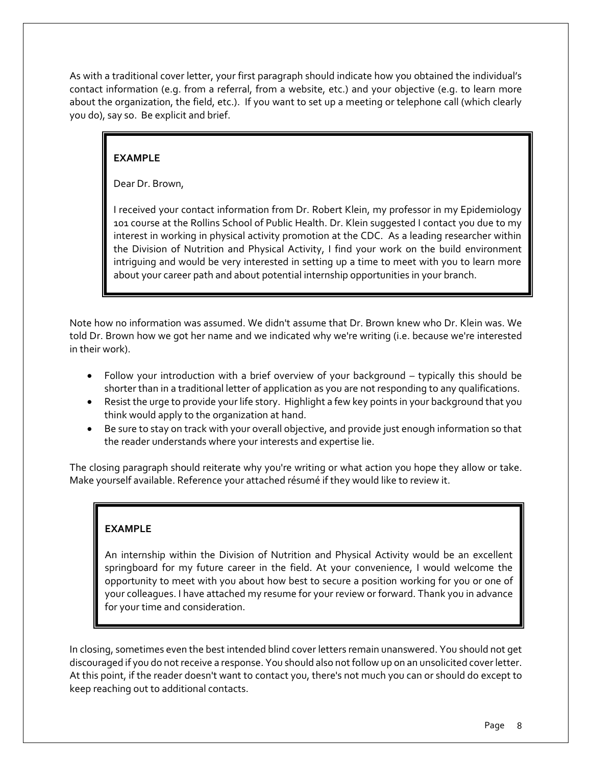As with a traditional cover letter, your first paragraph should indicate how you obtained the individual's contact information (e.g. from a referral, from a website, etc.) and your objective (e.g. to learn more about the organization, the field, etc.). If you want to set up a meeting or telephone call (which clearly you do), say so. Be explicit and brief.

#### **EXAMPLE**

Dear Dr. Brown,

I received your contact information from Dr. Robert Klein, my professor in my Epidemiology 101 course at the Rollins School of Public Health. Dr. Klein suggested I contact you due to my interest in working in physical activity promotion at the CDC. As a leading researcher within the Division of Nutrition and Physical Activity, I find your work on the build environment intriguing and would be very interested in setting up a time to meet with you to learn more about your career path and about potential internship opportunities in your branch.

Note how no information was assumed. We didn't assume that Dr. Brown knew who Dr. Klein was. We told Dr. Brown how we got her name and we indicated why we're writing (i.e. because we're interested in their work).

- Follow your introduction with a brief overview of your background typically this should be shorter than in a traditional letter of application as you are not responding to any qualifications.
- Resist the urge to provide your life story. Highlight a few key points in your background that you think would apply to the organization at hand.
- Be sure to stay on track with your overall objective, and provide just enough information so that the reader understands where your interests and expertise lie.

The closing paragraph should reiterate why you're writing or what action you hope they allow or take. Make yourself available. Reference your attached résumé if they would like to review it.

#### **EXAMPLE**

An internship within the Division of Nutrition and Physical Activity would be an excellent springboard for my future career in the field. At your convenience, I would welcome the opportunity to meet with you about how best to secure a position working for you or one of your colleagues. I have attached my resume for your review or forward. Thank you in advance for your time and consideration.

In closing, sometimes even the best intended blind cover letters remain unanswered. You should not get discouraged if you do not receive a response. You should also not follow up on an unsolicited cover letter. At this point, if the reader doesn't want to contact you, there's not much you can or should do except to keep reaching out to additional contacts.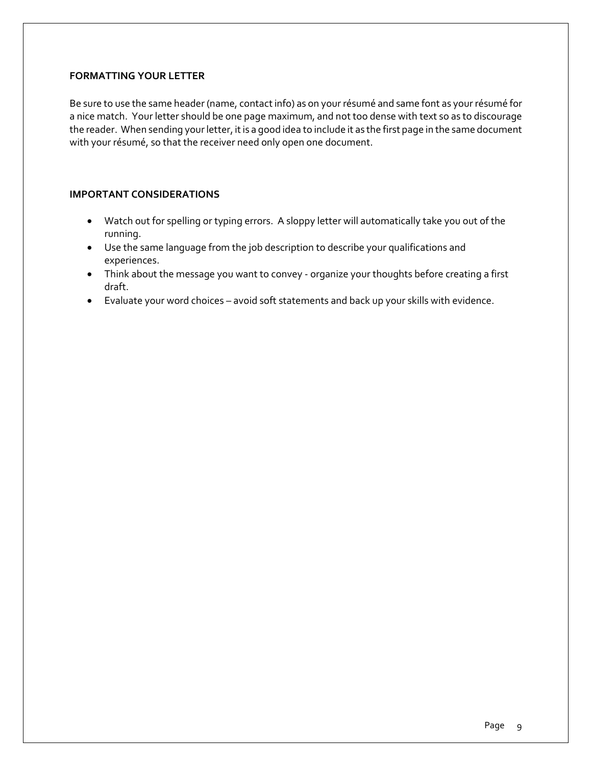#### **FORMATTING YOUR LETTER**

Be sure to use the same header (name, contact info) as on your résumé and same font as your résumé for a nice match. Your letter should be one page maximum, and not too dense with text so as to discourage the reader. When sending your letter, it is a good idea to include it as the first page in the same document with your résumé, so that the receiver need only open one document.

#### **IMPORTANT CONSIDERATIONS**

- Watch out for spelling or typing errors. A sloppy letter will automatically take you out of the running.
- Use the same language from the job description to describe your qualifications and experiences.
- Think about the message you want to convey organize your thoughts before creating a first draft.
- Evaluate your word choices avoid soft statements and back up your skills with evidence.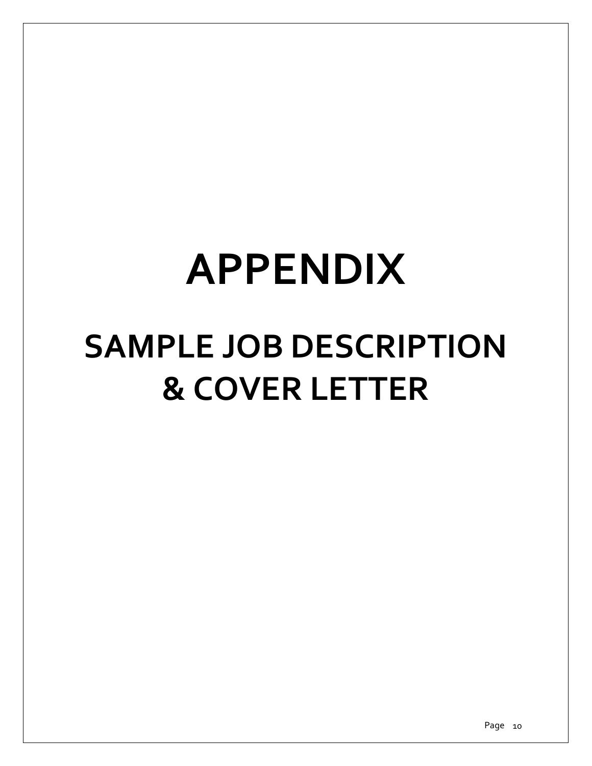# **APPENDIX**

## **SAMPLE JOB DESCRIPTION & COVER LETTER**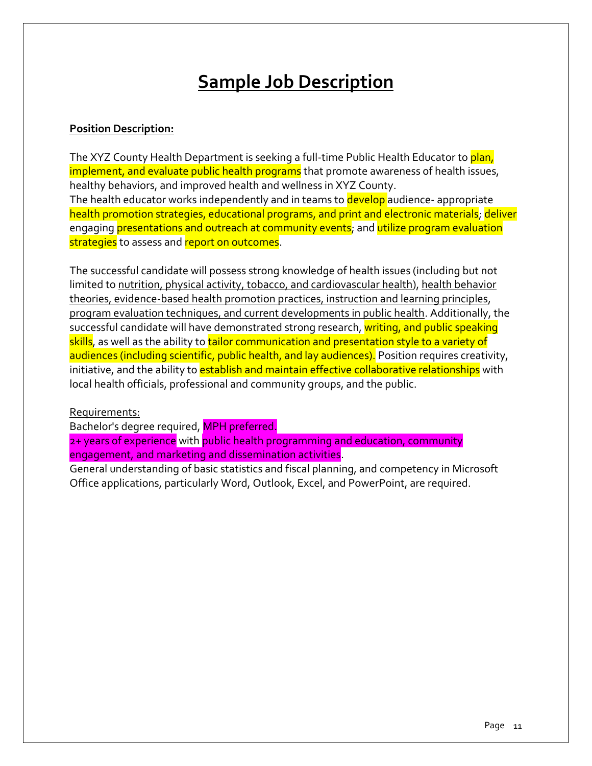## **Sample Job Description**

#### **Position Description:**

The XYZ County Health Department is seeking a full-time Public Health Educator to plan, implement, and evaluate public health programs that promote awareness of health issues, healthy behaviors, and improved health and wellness in XYZ County. The health educator works independently and in teams to develop audience- appropriate health promotion strategies, educational programs, and print and electronic materials; deliver engaging presentations and outreach at community events; and utilize program evaluation strategies to assess and report on outcomes.

The successful candidate will possess strong knowledge of health issues (including but not limited to nutrition, physical activity, tobacco, and cardiovascular health), health behavior theories, evidence-based health promotion practices, instruction and learning principles, program evaluation techniques, and current developments in public health. Additionally, the successful candidate will have demonstrated strong research, writing, and public speaking skills, as well as the ability to tailor communication and presentation style to a variety of audiences (including scientific, public health, and lay audiences). Position requires creativity, initiative, and the ability to establish and maintain effective collaborative relationships with local health officials, professional and community groups, and the public.

#### Requirements:

Bachelor's degree required, MPH preferred.

2+ years of experience with public health programming and education, community engagement, and marketing and dissemination activities.

General understanding of basic statistics and fiscal planning, and competency in Microsoft Office applications, particularly Word, Outlook, Excel, and PowerPoint, are required.